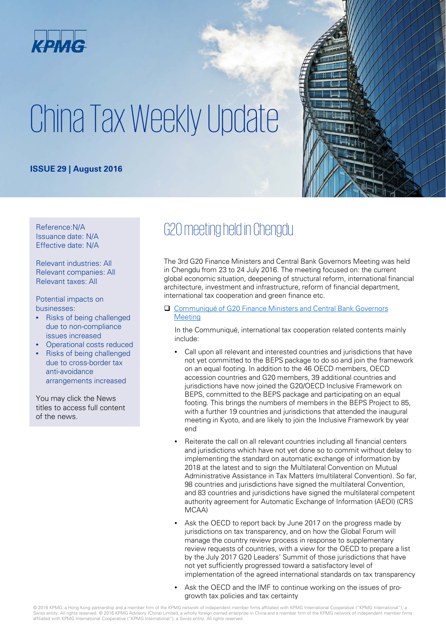

# China Tax Weekly Update

#### **ISSUE 29 | August 2016**



Reference:N/A Issuance date: N/A Effective date: N/A

Relevant industries: All Relevant companies: All Relevant taxes: All

Potential impacts on businesses:

- Risks of being challenged due to non-compliance issues increased
- Operational costs reduced
- Risks of being challenged due to cross-border tax anti-avoidance arrangements increased

You may click the News titles to access full content of the news.

# G20 meeting held in Chengdu

The 3rd G20 Finance Ministers and Central Bank Governors Meeting was held in Chengdu from 23 to 24 July 2016. The meeting focused on: the current global economic situation, deepening of structural reform, international financial architecture, investment and infrastructure, reform of financial department, international tax cooperation and green finance etc.

#### [Communiqué of G20 Finance Ministers and Central Bank Governors](http://www.mof.gov.cn/zhengwuxinxi/caizhengxinwen/201607/t20160724_2367836.htm) **Meeting**

In the Communiqué, international tax cooperation related contents mainly include:

- Call upon all relevant and interested countries and jurisdictions that have not yet committed to the BEPS package to do so and join the framework on an equal footing. In addition to the 46 OECD members, OECD accession countries and G20 members, 39 additional countries and jurisdictions have now joined the G20/OECD Inclusive Framework on BEPS, committed to the BEPS package and participating on an equal footing. This brings the numbers of members in the BEPS Project to 85, with a further 19 countries and jurisdictions that attended the inaugural meeting in Kyoto, and are likely to join the Inclusive Framework by year end
- Reiterate the call on all relevant countries including all financial centers and jurisdictions which have not yet done so to commit without delay to implementing the standard on automatic exchange of information by 2018 at the latest and to sign the Multilateral Convention on Mutual Administrative Assistance in Tax Matters (multilateral Convention). So far, 98 countries and jurisdictions have signed the multilateral Convention, and 83 countries and jurisdictions have signed the multilateral competent authority agreement for Automatic Exchange of Information (AEOI) (CRS MCAA)
- Ask the OECD to report back by June 2017 on the progress made by jurisdictions on tax transparency, and on how the Global Forum will manage the country review process in response to supplementary review requests of countries, with a view for the OECD to prepare a list by the July 2017 G20 Leaders' Summit of those jurisdictions that have not yet sufficiently progressed toward a satisfactory level of implementation of the agreed international standards on tax transparency
- Ask the OECD and the IMF to continue working on the issues of progrowth tax policies and tax certainty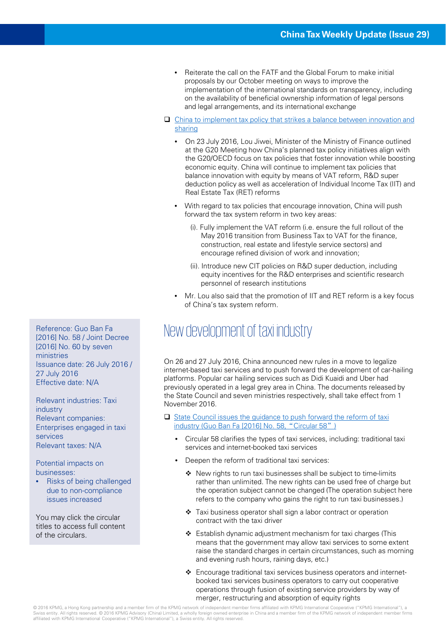- Reiterate the call on the FATF and the Global Forum to make initial proposals by our October meeting on ways to improve the implementation of the international standards on transparency, including on the availability of beneficial ownership information of legal persons and legal arrangements, and its international exchange
- [China to implement tax policy that strikes a balance between innovation and](http://www.mof.gov.cn/zhengwuxinxi/caizhengxinwen/201607/t20160724_2367838.htm) sharing
	- On 23 July 2016, Lou Jiwei, Minister of the Ministry of Finance outlined at the G20 Meeting how China's planned tax policy initiatives align with the G20/OECD focus on tax policies that foster innovation while boosting economic equity. China will continue to implement tax policies that balance innovation with equity by means of VAT reform, R&D super deduction policy as well as acceleration of Individual Income Tax (IIT) and Real Estate Tax (RET) reforms
	- With regard to tax policies that encourage innovation, China will push forward the tax system reform in two key areas:
		- (i). Fully implement the VAT reform (i.e. ensure the full rollout of the May 2016 transition from Business Tax to VAT for the finance, construction, real estate and lifestyle service sectors) and encourage refined division of work and innovation;
		- (ii). Introduce new CIT policies on R&D super deduction, including equity incentives for the R&D enterprises and scientific research personnel of research institutions
	- Mr. Lou also said that the promotion of IIT and RET reform is a key focus of China's tax system reform.

#### Reference: Guo Ban Fa<br>New development of taxi industry

On 26 and 27 July 2016, China announced new rules in a move to legalize internet-based taxi services and to push forward the development of car-hailing platforms. Popular car hailing services such as Didi Kuaidi and Uber had previously operated in a legal grey area in China. The documents released by the State Council and seven ministries respectively, shall take effect from 1 November 2016.

#### $\Box$  [State Council issues the guidance to push forward the reform of taxi](http://www.gov.cn/zhengce/content/2016-07/28/content_5095567.htm) industry (Guo Ban Fa [2016] No. 58, "Circular 58")

- Circular 58 clarifies the types of taxi services, including: traditional taxi services and internet-booked taxi services
- Deepen the reform of traditional taxi services:
	- ❖ New rights to run taxi businesses shall be subiect to time-limits rather than unlimited. The new rights can be used free of charge but the operation subject cannot be changed (The operation subject here refers to the company who gains the right to run taxi businesses.)
	- Taxi business operator shall sign a labor contract or operation contract with the taxi driver
	- $\triangleleft$  Establish dynamic adjustment mechanism for taxi charges (This means that the government may allow taxi services to some extent raise the standard charges in certain circumstances, such as morning and evening rush hours, raining days, etc.)
	- Encourage traditional taxi services business operators and internetbooked taxi services business operators to carry out cooperative operations through fusion of existing service providers by way of merger, restructuring and absorption of equity rights

[2016] No. 58 / Joint Decree [2016] No. 60 by seven ministries Issuance date: 26 July 2016 / 27 July 2016 Effective date: N/A

Relevant industries: Taxi industry Relevant companies: Enterprises engaged in taxi services Relevant taxes: N/A

Potential impacts on businesses:

• Risks of being challenged due to non-compliance issues increased

You may click the circular titles to access full content of the circulars.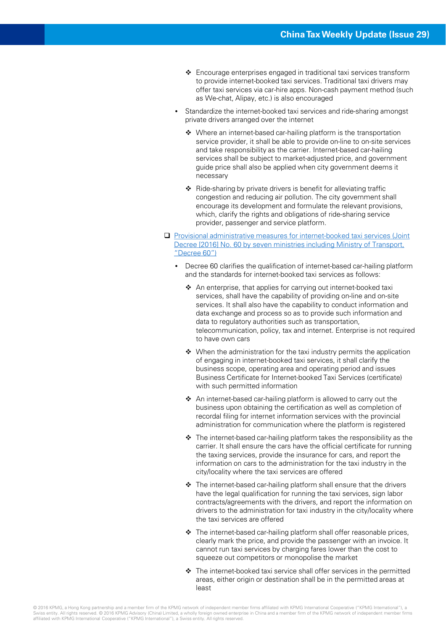- Encourage enterprises engaged in traditional taxi services transform to provide internet-booked taxi services. Traditional taxi drivers may offer taxi services via car-hire apps. Non-cash payment method (such as We-chat, Alipay, etc.) is also encouraged
- Standardize the internet-booked taxi services and ride-sharing amongst private drivers arranged over the internet
	- ◆ Where an internet-based car-hailing platform is the transportation service provider, it shall be able to provide on-line to on-site services and take responsibility as the carrier. Internet-based car-hailing services shall be subject to market-adjusted price, and government guide price shall also be applied when city government deems it necessary
	- $\triangleleft$  Ride-sharing by private drivers is benefit for alleviating traffic congestion and reducing air pollution. The city government shall encourage its development and formulate the relevant provisions, which, clarify the rights and obligations of ride-sharing service provider, passenger and service platform.
- Provisional administrative measures for internet-booked taxi services (Joint [Decree \[2016\] No. 60 by seven ministries including Ministry of Transport,](http://zizhan.mot.gov.cn/zfxxgk/bnssj/zcfgs/201607/t20160728_2068633.html)  "Decree 60")
	- Decree 60 clarifies the qualification of internet-based car-hailing platform and the standards for internet-booked taxi services as follows:
		- ❖ An enterprise, that applies for carrying out internet-booked taxi services, shall have the capability of providing on-line and on-site services. It shall also have the capability to conduct information and data exchange and process so as to provide such information and data to regulatory authorities such as transportation, telecommunication, policy, tax and internet. Enterprise is not required to have own cars
		- $\triangleq$  When the administration for the taxi industry permits the application of engaging in internet-booked taxi services, it shall clarify the business scope, operating area and operating period and issues Business Certificate for Internet-booked Taxi Services (certificate) with such permitted information
		- $\triangle$  An internet-based car-hailing platform is allowed to carry out the business upon obtaining the certification as well as completion of recordal filing for internet information services with the provincial administration for communication where the platform is registered
		- The internet-based car-hailing platform takes the responsibility as the carrier. It shall ensure the cars have the official certificate for running the taxing services, provide the insurance for cars, and report the information on cars to the administration for the taxi industry in the city/locality where the taxi services are offered
		- ◆ The internet-based car-hailing platform shall ensure that the drivers have the legal qualification for running the taxi services, sign labor contracts/agreements with the drivers, and report the information on drivers to the administration for taxi industry in the city/locality where the taxi services are offered
		- $\div$  The internet-based car-hailing platform shall offer reasonable prices, clearly mark the price, and provide the passenger with an invoice. It cannot run taxi services by charging fares lower than the cost to squeeze out competitors or monopolise the market
		- The internet-booked taxi service shall offer services in the permitted areas, either origin or destination shall be in the permitted areas at least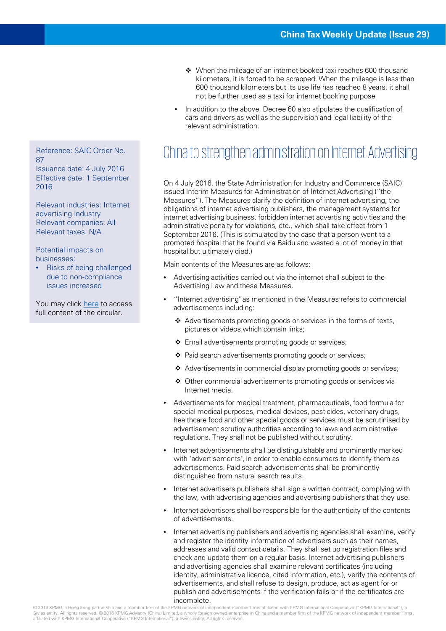- When the mileage of an internet-booked taxi reaches 600 thousand kilometers, it is forced to be scrapped. When the mileage is less than 600 thousand kilometers but its use life has reached 8 years, it shall not be further used as a taxi for internet booking purpose
- In addition to the above, Decree 60 also stipulates the qualification of cars and drivers as well as the supervision and legal liability of the relevant administration.

## Reference: SAIC Order No. China to strengthen administration on Internet Advertising

On 4 July 2016, the State Administration for Industry and Commerce (SAIC) issued Interim Measures for Administration of Internet Advertising ("the Measures"). The Measures clarify the definition of internet advertising, the obligations of internet advertising publishers, the management systems for internet advertising business, forbidden internet advertising activities and the administrative penalty for violations, etc., which shall take effect from 1 September 2016. (This is stimulated by the case that a person went to a promoted hospital that he found via Baidu and wasted a lot of money in that hospital but ultimately died.)

Main contents of the Measures are as follows:

- Advertising activities carried out via the internet shall subject to the Advertising Law and these Measures.
- "Internet advertising" as mentioned in the Measures refers to commercial advertisements including:
	- \* Advertisements promoting goods or services in the forms of texts, pictures or videos which contain links;
	- ❖ Email advertisements promoting goods or services;
	- ❖ Paid search advertisements promoting goods or services;
	- Advertisements in commercial display promoting goods or services;
	- Other commercial advertisements promoting goods or services via Internet media.
- Advertisements for medical treatment, pharmaceuticals, food formula for special medical purposes, medical devices, pesticides, veterinary drugs, healthcare food and other special goods or services must be scrutinised by advertisement scrutiny authorities according to laws and administrative regulations. They shall not be published without scrutiny.
- Internet advertisements shall be distinguishable and prominently marked with "advertisements", in order to enable consumers to identify them as advertisements. Paid search advertisements shall be prominently distinguished from natural search results.
- Internet advertisers publishers shall sign a written contract, complying with the law, with advertising agencies and advertising publishers that they use.
- Internet advertisers shall be responsible for the authenticity of the contents of advertisements.
- Internet advertising publishers and advertising agencies shall examine, verify and register the identity information of advertisers such as their names, addresses and valid contact details. They shall set up registration files and check and update them on a regular basis. Internet advertising publishers and advertising agencies shall examine relevant certificates (including identity, administrative licence, cited information, etc.), verify the contents of advertisements, and shall refuse to design, produce, act as agent for or publish and advertisements if the verification fails or if the certificates are incomplete.

87 Issuance date: 4 July 2016 Effective date: 1 September 2016

Relevant industries: Internet advertising industry Relevant companies: All Relevant taxes: N/A

Potential impacts on businesses:

• Risks of being challenged due to non-compliance issues increased

You may click [here](http://www.saic.gov.cn/zwgk/zyfb/zjl/xxzx/201607/t20160708_169638.html) to access full content of the circular.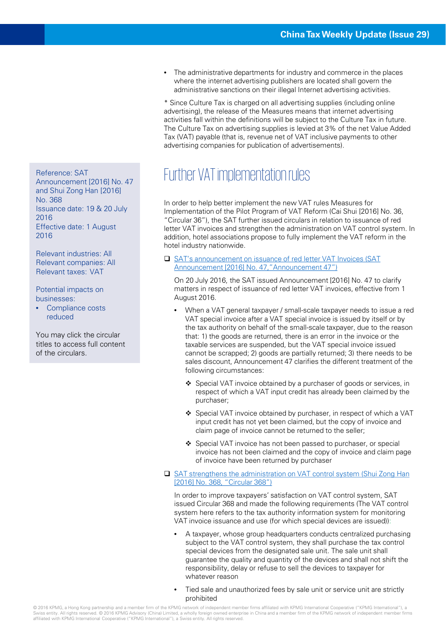• The administrative departments for industry and commerce in the places where the internet advertising publishers are located shall govern the administrative sanctions on their illegal Internet advertising activities.

\* Since Culture Tax is charged on all advertising supplies (including online advertising), the release of the Measures means that internet advertising activities fall within the definitions will be subject to the Culture Tax in future. The Culture Tax on advertising supplies is levied at 3% of the net Value Added Tax (VAT) payable (that is, revenue net of VAT inclusive payments to other advertising companies for publication of advertisements).

## Reference: SAT Further VAT implementation rules

In order to help better implement the new VAT rules Measures for Implementation of the Pilot Program of VAT Reform (Cai Shui [2016] No. 36, "Circular 36"), the SAT further issued circulars in relation to issuance of red letter VAT invoices and strengthen the administration on VAT control system. In addition, hotel associations propose to fully implement the VAT reform in the hotel industry nationwide.

□ SAT's announcement on issuance of red letter VAT Invoices (SAT [Announcement \[2016\] No. 47,"Announcement 47"\)](http://www.chinatax.gov.cn/n810341/n810755/c2217288/content.html)

On 20 July 2016, the SAT issued Announcement [2016] No. 47 to clarify matters in respect of issuance of red letter VAT invoices, effective from 1 August 2016.

- When a VAT general taxpayer / small-scale taxpayer needs to issue a red VAT special invoice after a VAT special invoice is issued by itself or by the tax authority on behalf of the small-scale taxpayer, due to the reason that: 1) the goods are returned, there is an error in the invoice or the taxable services are suspended, but the VAT special invoice issued cannot be scrapped; 2) goods are partially returned; 3) there needs to be sales discount, Announcement 47 clarifies the different treatment of the following circumstances:
	- ❖ Special VAT invoice obtained by a purchaser of goods or services, in respect of which a VAT input credit has already been claimed by the purchaser;
	- Special VAT invoice obtained by purchaser, in respect of which a VAT input credit has not yet been claimed, but the copy of invoice and claim page of invoice cannot be returned to the seller;
	- Special VAT invoice has not been passed to purchaser, or special invoice has not been claimed and the copy of invoice and claim page of invoice have been returned by purchaser
- □ [SAT strengthens the administration on VAT control system \(Shui](http://www.chinatax.gov.cn/n810341/n810755/c2216229/content.html) Zong Han [2016] No. 368, "Circular 368")

In order to improve taxpayers' satisfaction on VAT control system, SAT issued Circular 368 and made the following requirements (The VAT control system here refers to the tax authority information system for monitoring VAT invoice issuance and use (for which special devices are issued)):

- A taxpayer, whose group headquarters conducts centralized purchasing subject to the VAT control system, they shall purchase the tax control special devices from the designated sale unit. The sale unit shall guarantee the quality and quantity of the devices and shall not shift the responsibility, delay or refuse to sell the devices to taxpayer for whatever reason
- Tied sale and unauthorized fees by sale unit or service unit are strictly prohibited

Announcement [2016] No. 47 and Shui Zong Han [2016] No. 368 Issuance date: 19 & 20 July 2016 Effective date: 1 August 2016

Relevant industries: All Relevant companies: All Relevant taxes: VAT

Potential impacts on businesses:

• Compliance costs reduced

You may click the circular titles to access full content of the circulars.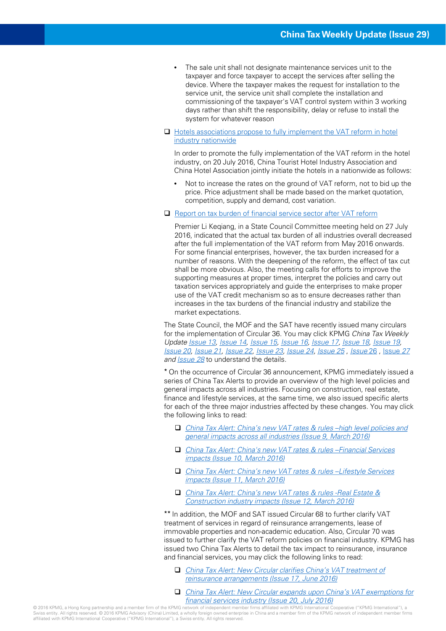- The sale unit shall not designate maintenance services unit to the taxpayer and force taxpayer to accept the services after selling the device. Where the taxpayer makes the request for installation to the service unit, the service unit shall complete the installation and commissioning of the taxpayer's VAT control system within 3 working days rather than shift the responsibility, delay or refuse to install the system for whatever reason
- □ Hotels associations propose to fully implement the VAT reform in hotel industry nationwide

In order to promote the fully implementation of the VAT reform in the hotel industry, on 20 July 2016, China Tourist Hotel Industry Association and China Hotel Association jointly initiate the hotels in a nationwide as follows:

- Not to increase the rates on the ground of VAT reform, not to bid up the price. Price adjustment shall be made based on the market quotation, competition, supply and demand, cost variation.
- □ [Report on tax burden of financial service sector after VAT reform](http://www.gov.cn/premier/2016-07/27/content_5095338.htm)

Premier Li Keqiang, in a State Council Committee meeting held on 27 July 2016, indicated that the actual tax burden of all industries overall decreased after the full implementation of the VAT reform from May 2016 onwards. For some financial enterprises, however, the tax burden increased for a number of reasons. With the deepening of the reform, the effect of tax cut shall be more obvious. Also, the meeting calls for efforts to improve the supporting measures at proper times, interpret the policies and carry out taxation services appropriately and guide the enterprises to make proper use of the VAT credit mechanism so as to ensure decreases rather than increases in the tax burdens of the financial industry and stabilize the market expectations.

The State Council, the MOF and the SAT have recently issued many circulars for the implementation of Circular 36. You may click KPMG China Tax Weekly Update [Issue 13,](https://home.kpmg.com/cn/en/home/insights/2016/04/china-tax-weekly-update-13.html) [Issue 14,](https://home.kpmg.com/cn/en/home/insights/2016/04/china-tax-weekly-update-14.html) [Issue 15,](https://home.kpmg.com/cn/en/home/insights/2016/04/china-tax-weekly-update-15.html) [Issue 16,](https://home.kpmg.com/cn/en/home/insights/2016/05/china-tax-weekly-update-16.html) [Issue 17,](https://home.kpmg.com/cn/en/home/insights/2016/05/china-tax-weekly-update-17.html) [Issue 18,](https://home.kpmg.com/cn/en/home/insights/2016/05/china-tax-weekly-update-18.html) [Issue 19,](https://home.kpmg.com/cn/en/home/insights/2016/05/china-tax-weekly-update-19.html) [Issue 20](https://home.kpmg.com/cn/en/home/insights/2016/06/china-tax-weekly-update-20.html), [Issue 21,](https://home.kpmg.com/cn/en/home/insights/2016/06/china-tax-weekly-update-21.html) [Issue 22,](https://home.kpmg.com/cn/en/home/insights/2016/06/china-tax-weekly-update-22.html) [Issue 23,](https://home.kpmg.com/cn/en/home/insights/2016/06/china-tax-weekly-update-23.html) [Issue 24](https://home.kpmg.com/cn/en/home/insights/2016/06/china-tax-weekly-update-24.html), [Issue 25](https://home.kpmg.com/cn/en/home/insights/2016/07/china-tax-weekly-update-25.html) , [Issue](https://home.kpmg.com/cn/en/home/insights/2016/07/china-tax-weekly-update-26.html) 26 , [Issue](https://home.kpmg.com/cn/en/home/insights/2016/07/china-tax-weekly-update-27.html) 27 and **[Issue 28](https://home.kpmg.com/cn/en/home/insights/2016/07/china-tax-weekly-update-28.html)** to understand the details.

\* On the occurrence of Circular 36 announcement, KPMG immediately issued a series of China Tax Alerts to provide an overview of the high level policies and general impacts across all industries. Focusing on construction, real estate, finance and lifestyle services, at the same time, we also issued specific alerts for each of the three major industries affected by these changes. You may click the following links to read:

- [China Tax Alert: China's new VAT rates & rules –high level policies and](https://home.kpmg.com/cn/en/home/insights/2016/03/china-tax-alert-09-vat-implementation-rules.html)  general impacts across all industries (Issue 9, March 2016)
- [China Tax Alert: China's new VAT rates & rules –Financial Services](https://home.kpmg.com/cn/en/home/insights/2016/03/china-tax-alert-10-implementation-rules-fs-insurance.html) impacts (Issue 10, March 2016)
- □ China Tax Alert: China's new VAT rates & rules –Lifestyle Services impacts (Issue 11, March 2016)
- [China Tax Alert: China's new VAT rates & rules -Real Estate &](https://home.kpmg.com/cn/en/home/insights/2016/03/china-tax-alert-12-china-vat-reform-policy.html)  Construction industry impacts (Issue 12, March 2016)

\*\* In addition, the MOF and SAT issued Circular 68 to further clarify VAT treatment of services in regard of reinsurance arrangements, lease of immovable properties and non-academic education. Also, Circular 70 was issued to further clarify the VAT reform policies on financial industry. KPMG has issued two China Tax Alerts to detail the tax impact to reinsurance, insurance and financial services, you may click the following links to read:

- [China Tax Alert: New Circular clarifies China's VAT treatment of](https://home.kpmg.com/cn/en/home/insights/2016/06/china-tax-alert-17-va-treatment-of-reinsurance-arrangements.html)  reinsurance arrangements (Issue 17, June 2016)
- [China Tax Alert: New Circular expands upon China's VAT exemptions for](https://home.kpmg.com/cn/en/home/insights/2016/07/china-tax-alert-20-new-circular-expands-upon-china-vat-exemptions-for-financial-services-industry.html)  financial services industry (Issue 20, July 2016)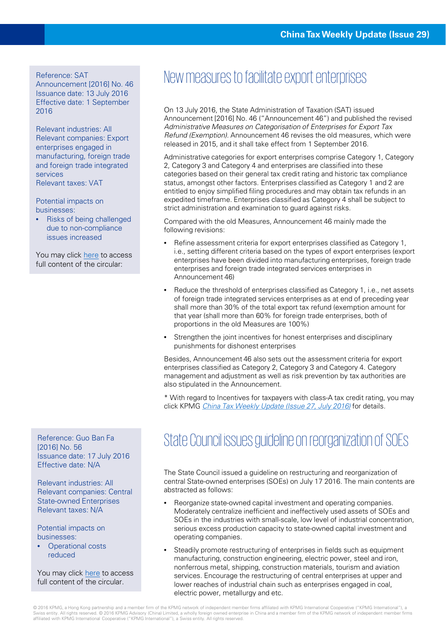Reference: SAT

Announcement [2016] No. 46 Issuance date: 13 July 2016 Effective date: 1 September 2016

Relevant industries: All Relevant companies: Export enterprises engaged in manufacturing, foreign trade and foreign trade integrated services Relevant taxes: VAT

Potential impacts on businesses:

• Risks of being challenged due to non-compliance issues increased

You may click [here](http://www.chinatax.gov.cn/n810341/n810755/c2217201/content.html) to access full content of the circular:

[2016] No. 56 Issuance date: 17 July 2016 Effective date: N/A

Relevant industries: All Relevant companies: Central State-owned Enterprises Relevant taxes: N/A

Potential impacts on businesses:

• Operational costs reduced

You may click [here](http://www.gov.cn/zhengce/content/2016-07/26/content_5095050.htm) to access full content of the circular.

## New measures to facilitate export enterprises

On 13 July 2016, the State Administration of Taxation (SAT) issued Announcement [2016] No. 46 ("Announcement 46") and published the revised Administrative Measures on Categorisation of Enterprises for Export Tax Refund (Exemption). Announcement 46 revises the old measures, which were released in 2015, and it shall take effect from 1 September 2016.

Administrative categories for export enterprises comprise Category 1, Category 2, Category 3 and Category 4 and enterprises are classified into these categories based on their general tax credit rating and historic tax compliance status, amongst other factors. Enterprises classified as Category 1 and 2 are entitled to enjoy simplified filing procedures and may obtain tax refunds in an expedited timeframe. Enterprises classified as Category 4 shall be subject to strict administration and examination to guard against risks.

Compared with the old Measures, Announcement 46 mainly made the following revisions:

- Refine assessment criteria for export enterprises classified as Category 1, i.e., setting different criteria based on the types of export enterprises (export enterprises have been divided into manufacturing enterprises, foreign trade enterprises and foreign trade integrated services enterprises in Announcement 46)
- Reduce the threshold of enterprises classified as Category 1, i.e., net assets of foreign trade integrated services enterprises as at end of preceding year shall more than 30% of the total export tax refund (exemption amount for that year (shall more than 60% for foreign trade enterprises, both of proportions in the old Measures are 100%)
- Strengthen the joint incentives for honest enterprises and disciplinary punishments for dishonest enterprises

Besides, Announcement 46 also sets out the assessment criteria for export enterprises classified as Category 2, Category 3 and Category 4. Category management and adjustment as well as risk prevention by tax authorities are also stipulated in the Announcement.

\* With regard to Incentives for taxpayers with class-A tax credit rating, you may click KPMG [China Tax Weekly Update \(Issue 27, July 2016\)](https://home.kpmg.com/cn/en/home/insights/2016/07/china-tax-weekly-update-27.html) for details.

## Reference: Guo Ban Fa<br>
State Council issues guideline on reorganization of SOEs

The State Council issued a guideline on restructuring and reorganization of central State-owned enterprises (SOEs) on July 17 2016. The main contents are abstracted as follows:

- Reorganize state-owned capital investment and operating companies. Moderately centralize inefficient and ineffectively used assets of SOEs and SOEs in the industries with small-scale, low level of industrial concentration, serious excess production capacity to state-owned capital investment and operating companies.
- Steadily promote restructuring of enterprises in fields such as equipment manufacturing, construction engineering, electric power, steel and iron, nonferrous metal, shipping, construction materials, tourism and aviation services. Encourage the restructuring of central enterprises at upper and lower reaches of industrial chain such as enterprises engaged in coal, electric power, metallurgy and etc.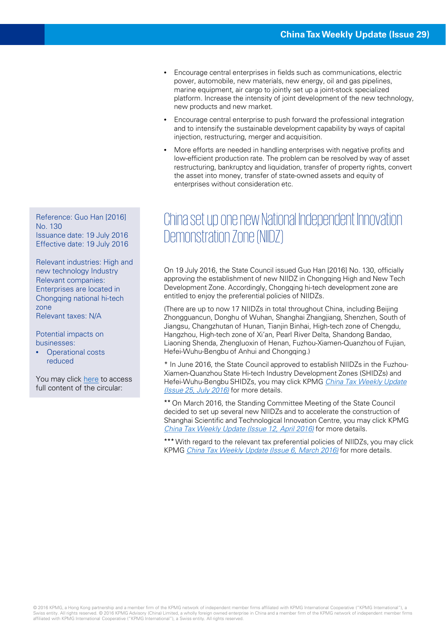- Encourage central enterprises in fields such as communications, electric power, automobile, new materials, new energy, oil and gas pipelines, marine equipment, air cargo to jointly set up a joint-stock specialized platform. Increase the intensity of joint development of the new technology, new products and new market.
- Encourage central enterprise to push forward the professional integration and to intensify the sustainable development capability by ways of capital injection, restructuring, merger and acquisition.
- More efforts are needed in handling enterprises with negative profits and low-efficient production rate. The problem can be resolved by way of asset restructuring, bankruptcy and liquidation, transfer of property rights, convert the asset into money, transfer of state-owned assets and equity of enterprises without consideration etc.

#### China set up one new National Independent Innovation Demonstration Zone (NIIDZ)

On 19 July 2016, the State Council issued Guo Han [2016] No. 130, officially approving the establishment of new NIIDZ in Chongqing High and New Tech Development Zone. Accordingly, Chongqing hi-tech development zone are entitled to enjoy the preferential policies of NIIDZs.

(There are up to now 17 NIIDZs in total throughout China, including Beijing Zhongguancun, Donghu of Wuhan, Shanghai Zhangjiang, Shenzhen, South of Jiangsu, Changzhutan of Hunan, Tianjin Binhai, High-tech zone of Chengdu, Hangzhou, High-tech zone of Xi'an, Pearl River Delta, Shandong Bandao, Liaoning Shenda, Zhengluoxin of Henan, Fuzhou-Xiamen-Quanzhou of Fujian, Hefei-Wuhu-Bengbu of Anhui and Chongqing.)

\* In June 2016, the State Council approved to establish NIIDZs in the Fuzhou-Xiamen-Quanzhou State Hi-tech Industry Development Zones (SHIDZs) and [Hefei-Wuhu-Bengbu SHIDZs, you may click KPMG](https://home.kpmg.com/cn/en/home/insights/2016/07/china-tax-weekly-update-25.html) China Tax Weekly Update (Issue 25, July 2016) for more details.

\*\* On March 2016, the Standing Committee Meeting of the State Council decided to set up several new NIIDZs and to accelerate the construction of Shanghai Scientific and Technological Innovation Centre, you may click KPMG [China Tax Weekly Update \(Issue 12, April 2016\)](https://home.kpmg.com/cn/en/home/insights/2016/04/china-tax-weekly-update-12.html) for more details.

\*\*\* With regard to the relevant tax preferential policies of NIIDZs, you may click KPMG [China Tax Weekly Update \(Issue 6, March 2016\)](https://home.kpmg.com/cn/en/home/insights/2016/02/china-tax-weekly-update-06.html) for more details.

Reference: Guo Han [2016] No. 130 Issuance date: 19 July 2016 Effective date: 19 July 2016

Relevant industries: High and new technology Industry Relevant companies: Enterprises are located in Chongqing national hi-tech zone Relevant taxes: N/A

Potential impacts on businesses:

• Operational costs reduced

You may click [here](http://www.gov.cn/zhengce/content/2016-07/26/content_5094982.htm) to access full content of the circular: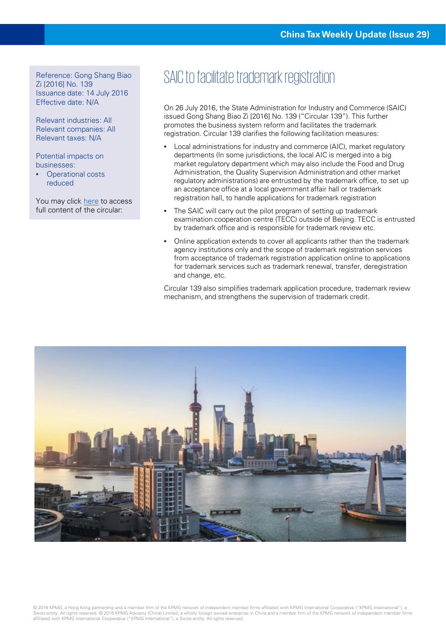Zi [2016] No. 139 Issuance date: 14 July 2016 Effective date: N/A

Relevant industries: All Relevant companies: All Relevant taxes: N/A

Potential impacts on businesses:

**Operational costs** reduced

You may click [here](http://www.saic.gov.cn/zwgk/zyfb/zjwj/xxzx/201607/t20160725_170018.html) to access full content of the circular:

#### Reference: Gong Shang Biao<br>
SAIC to facilitate trademark registration

On 26 July 2016, the State Administration for Industry and Commerce (SAIC) issued Gong Shang Biao Zi [2016] No. 139 ("Circular 139"). This further promotes the business system reform and facilitates the trademark registration. Circular 139 clarifies the following facilitation measures:

- Local administrations for industry and commerce (AIC), market regulatory departments (In some jurisdictions, the local AIC is merged into a big market regulatory department which may also include the Food and Drug Administration, the Quality Supervision Administration and other market regulatory administrations) are entrusted by the trademark office, to set up an acceptance office at a local government affair hall or trademark registration hall, to handle applications for trademark registration
- The SAIC will carry out the pilot program of setting up trademark examination cooperation centre (TECC) outside of Beijing. TECC is entrusted by trademark office and is responsible for trademark review etc.
- Online application extends to cover all applicants rather than the trademark agency institutions only and the scope of trademark registration services from acceptance of trademark registration application online to applications for trademark services such as trademark renewal, transfer, deregistration and change, etc.

Circular 139 also simplifies trademark application procedure, trademark review mechanism, and strengthens the supervision of trademark credit.

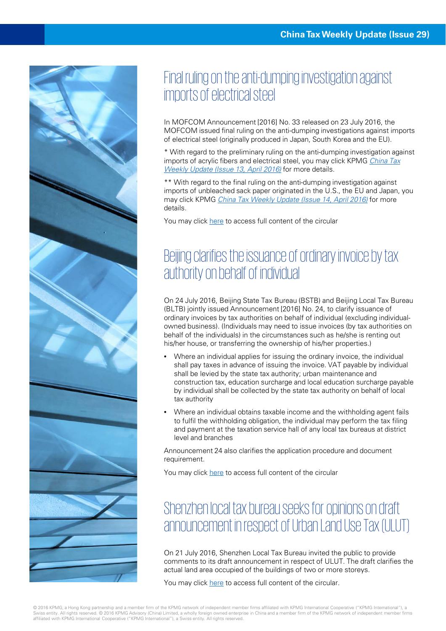

### Final ruling on the anti-dumping investigation against imports of electrical steel

In MOFCOM Announcement [2016] No. 33 released on 23 July 2016, the MOFCOM issued final ruling on the anti-dumping investigations against imports of electrical steel (originally produced in Japan, South Korea and the EU).

\* With regard to the preliminary ruling on the anti-dumping investigation against [imports of acrylic fibers and electrical steel, you may click KPMG](https://home.kpmg.com/cn/en/home/insights/2016/04/china-tax-weekly-update-13.html) China Tax Weekly Update (Issue 13, April 2016) for more details.

\*\* With regard to the final ruling on the anti-dumping investigation against imports of unbleached sack paper originated in the U.S., the EU and Japan, you may click KPMG [China Tax Weekly Update \(Issue 14, April 2016\)](https://home.kpmg.com/cn/en/home/insights/2016/04/china-tax-weekly-update-14.html) for more details.

You may click [here](http://www.mofcom.gov.cn/article/b/c/201607/20160701364842.shtml) to access full content of the circular

## Beijing clarifies the issuance of ordinary invoice by tax authority on behalf of individual

On 24 July 2016, Beijing State Tax Bureau (BSTB) and Beijing Local Tax Bureau (BLTB) jointly issued Announcement [2016] No. 24, to clarify issuance of ordinary invoices by tax authorities on behalf of individual (excluding individualowned business). (Individuals may need to issue invoices (by tax authorities on behalf of the individuals) in the circumstances such as he/she is renting out his/her house, or transferring the ownership of his/her properties.)

- Where an individual applies for issuing the ordinary invoice, the individual shall pay taxes in advance of issuing the invoice. VAT payable by individual shall be levied by the state tax authority; urban maintenance and construction tax, education surcharge and local education surcharge payable by individual shall be collected by the state tax authority on behalf of local tax authority
- Where an individual obtains taxable income and the withholding agent fails to fulfil the withholding obligation, the individual may perform the tax filing and payment at the taxation service hall of any local tax bureaus at district level and branches

Announcement 24 also clarifies the application procedure and document requirement.

You may click [here](http://hd.chinatax.gov.cn/guoshui/action/GetArticleView1.do?id=3496840&flag=1) to access full content of the circular

## Shenzhen local tax bureau seeks for opinions on draft announcement in respect of Urban Land Use Tax (ULUT)

On 21 July 2016, Shenzhen Local Tax Bureau invited the public to provide comments to its draft announcement in respect of ULUT. The draft clarifies the actual land area occupied of the buildings of two or more storeys.

You may click [here](http://www.szds.gov.cn/szds/0100/201607/6fec72d289f840fd8cbed81753f11f5c.shtml) to access full content of the circular.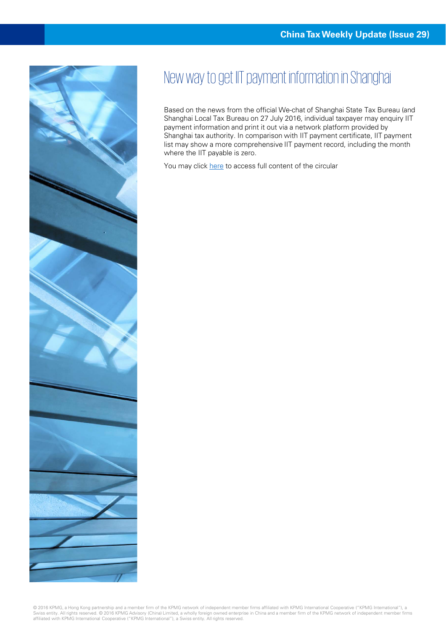

## New way to get IIT payment information in Shanghai

Based on the news from the official We-chat of Shanghai State Tax Bureau (and Shanghai Local Tax Bureau on 27 July 2016, individual taxpayer may enquiry IIT payment information and print it out via a network platform provided by Shanghai tax authority. In comparison with IIT payment certificate, IIT payment list may show a more comprehensive IIT payment record, including the month where the IIT payable is zero.

You may click [here](http://mp.weixin.qq.com/s?__biz=MzA4Mzk5OTgyMQ==&mid=2653328686&idx=1&sn=af17ed83d6e24499045d67df231e435a&scene=5&srcid=0728WTS7nMLP907y8NinVnQl%20-%20rd) to access full content of the circular

© 2016 KPMG, a Hong Kong partnership and a member firm of the KPMG network of independent member firms affiliated with KPMG International Cooperative ("KPMG International"), a<br>Swiss entity. All rights reserved. © 2016 KPMG